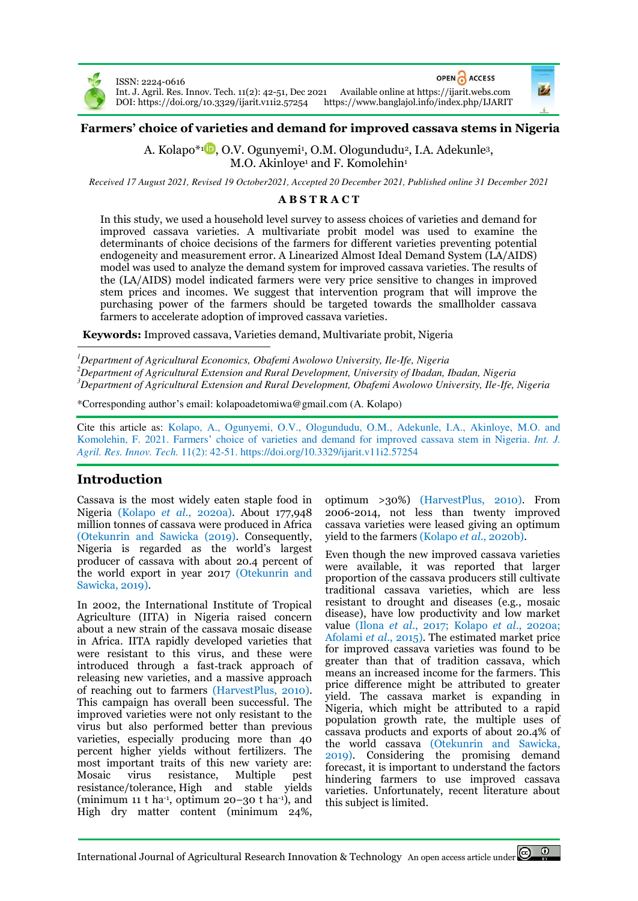

OPEN CACCESS ISSN: 2224-0616 Int. J. Agril. Res. Innov. Tech. 11(2): 42-51, Dec 2021 Available online a[t https://ijarit.webs.com](http://ijarit.webs.com/)  DOI: https://doi.org/10.3329/ijarit.v11i2.57254



A. Kolapo\*1D[,](https://orcid.org/0000-0002-0808-1293) O.V. Ogunyemi<sup>1</sup>, O.M. Ologundudu<sup>2</sup>, I.A. Adekunle<sup>3</sup>, M.O. Akinloye<sup>1</sup> and F. Komolehin<sup>1</sup>

*Received 17 August 2021, Revised 19 October2021, Accepted 20 December 2021, Published online 31 December 2021* 

# **A B S T R A C T**

In this study, we used a household level survey to assess choices of varieties and demand for improved cassava varieties. A multivariate probit model was used to examine the determinants of choice decisions of the farmers for different varieties preventing potential endogeneity and measurement error. A Linearized Almost Ideal Demand System (LA/AIDS) model was used to analyze the demand system for improved cassava varieties. The results of the (LA/AIDS) model indicated farmers were very price sensitive to changes in improved stem prices and incomes. We suggest that intervention program that will improve the purchasing power of the farmers should be targeted towards the smallholder cassava farmers to accelerate adoption of improved cassava varieties.

**Keywords:** Improved cassava, Varieties demand, Multivariate probit, Nigeria

*<sup>1</sup>Department of Agricultural Economics, Obafemi Awolowo University, Ile-Ife, Nigeria <sup>2</sup>Department of Agricultural Extension and Rural Development, University of Ibadan, Ibadan, Nigeria <sup>3</sup>Department of Agricultural Extension and Rural Development, Obafemi Awolowo University, Ile-Ife, Nigeria* 

\*Corresponding author's email: kolapoadetomiwa@gmail.com (A. Kolapo)

Cite this article as: Kolapo, A., Ogunyemi, O.V., Ologundudu, O.M., Adekunle, I.A., Akinloye, M.O. and Komolehin, F. 2021. Farmers' choice of varieties and demand for improved cassava stem in Nigeria. *Int. J. Agril. Res. Innov. Tech.* 11(2): 42-51[. https://doi.org/10.3329/ijarit.v11i2.57254](https://doi.org/10.3329/ijarit.v11i2.57254)

# **Introduction**

Cassava is the most widely eaten staple food in Nigeria (Kolapo *et al.,* 2020a). About 177,948 million tonnes of cassava were produced in Africa (Otekunrin and Sawicka (2019). Consequently, Nigeria is regarded as the world's largest producer of cassava with about 20.4 percent of the world export in year 2017 (Otekunrin and Sawicka, 2019).

In 2002, the International Institute of Tropical Agriculture (IITA) in Nigeria raised concern about a new strain of the cassava mosaic disease in Africa. IITA rapidly developed varieties that were resistant to this virus, and these were introduced through a fast‐track approach of releasing new varieties, and a massive approach of reaching out to farmers (HarvestPlus, 2010). This campaign has overall been successful. The improved varieties were not only resistant to the virus but also performed better than previous varieties, especially producing more than 40 percent higher yields without fertilizers. The most important traits of this new variety are: Mosaic virus resistance, Multiple pest resistance/tolerance, High and stable yields (minimum 11 t ha<sup>-1</sup>, optimum 20–30 t ha<sup>-1</sup>), and High dry matter content (minimum 24%,

optimum >30%) (HarvestPlus, 2010). From 2006-2014, not less than twenty improved cassava varieties were leased giving an optimum yield to the farmers (Kolapo *et al*., 2020b).

Even though the new improved cassava varieties were available, it was reported that larger proportion of the cassava producers still cultivate traditional cassava varieties, which are less resistant to drought and diseases (e.g., mosaic disease), have low productivity and low market value (Ilona *et al*., 2017; Kolapo *et al*., 2020a; Afolami *et al*., 2015). The estimated market price for improved cassava varieties was found to be greater than that of tradition cassava, which means an increased income for the farmers. This price difference might be attributed to greater yield. The cassava market is expanding in Nigeria, which might be attributed to a rapid population growth rate, the multiple uses of cassava products and exports of about 20.4% of the world cassava (Otekunrin and Sawicka, 2019). Considering the promising demand forecast, it is important to understand the factors hindering farmers to use improved cassava varieties. Unfortunately, recent literature about this subject is limited.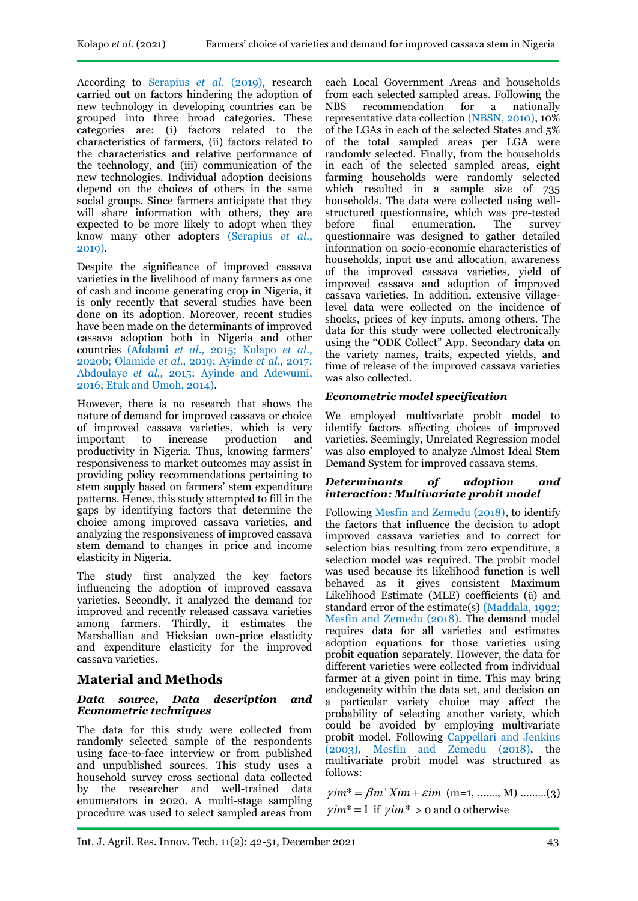According to Serapius *et al.* (2019), research carried out on factors hindering the adoption of new technology in developing countries can be grouped into three broad categories. These categories are: (i) factors related to the characteristics of farmers, (ii) factors related to the characteristics and relative performance of the technology, and (iii) communication of the new technologies. Individual adoption decisions depend on the choices of others in the same social groups. Since farmers anticipate that they will share information with others, they are expected to be more likely to adopt when they know many other adopters (Serapius *et al.,* 2019).

Despite the significance of improved cassava varieties in the livelihood of many farmers as one of cash and income generating crop in Nigeria, it is only recently that several studies have been done on its adoption. Moreover, recent studies have been made on the determinants of improved cassava adoption both in Nigeria and other countries (Afolami *et al*., 2015; Kolapo *et al*., 2020b; Olamide *et al.*, 2019; Ayinde *et al.,* 2017; Abdoulaye *et al.,* 2015; Ayinde and Adewumi, 2016; Etuk and Umoh, 2014).

However, there is no research that shows the nature of demand for improved cassava or choice of improved cassava varieties, which is very to increase production productivity in Nigeria. Thus, knowing farmers' responsiveness to market outcomes may assist in providing policy recommendations pertaining to stem supply based on farmers' stem expenditure patterns. Hence, this study attempted to fill in the gaps by identifying factors that determine the choice among improved cassava varieties, and analyzing the responsiveness of improved cassava stem demand to changes in price and income elasticity in Nigeria.

The study first analyzed the key factors influencing the adoption of improved cassava varieties. Secondly, it analyzed the demand for improved and recently released cassava varieties among farmers. Thirdly, it estimates the Marshallian and Hicksian own-price elasticity and expenditure elasticity for the improved cassava varieties.

# **Material and Methods**

#### *Data source, Data description and Econometric techniques*

The data for this study were collected from randomly selected sample of the respondents using face-to-face interview or from published and unpublished sources. This study uses a household survey cross sectional data collected by the researcher and well-trained data enumerators in 2020. A multi-stage sampling procedure was used to select sampled areas from

each Local Government Areas and households from each selected sampled areas. Following the NBS recommendation for a nationally representative data collection (NBSN, 2010), 10% of the LGAs in each of the selected States and 5% of the total sampled areas per LGA were randomly selected. Finally, from the households in each of the selected sampled areas, eight farming households were randomly selected which resulted in a sample size of 735 households. The data were collected using wellstructured questionnaire, which was pre-tested before final enumeration. The survey questionnaire was designed to gather detailed information on socio-economic characteristics of households, input use and allocation, awareness of the improved cassava varieties, yield of improved cassava and adoption of improved cassava varieties. In addition, extensive villagelevel data were collected on the incidence of shocks, prices of key inputs, among others. The data for this study were collected electronically using the "ODK Collect" App. Secondary data on the variety names, traits, expected yields, and time of release of the improved cassava varieties was also collected.

## *Econometric model specification*

We employed multivariate probit model to identify factors affecting choices of improved varieties. Seemingly, Unrelated Regression model was also employed to analyze Almost Ideal Stem Demand System for improved cassava stems.

#### *Determinants of adoption and interaction: Multivariate probit model*

Following Mesfin and Zemedu (2018), to identify the factors that influence the decision to adopt improved cassava varieties and to correct for selection bias resulting from zero expenditure, a selection model was required. The probit model was used because its likelihood function is well behaved as it gives consistent Maximum Likelihood Estimate (MLE) coefficients (ȕ) and standard error of the estimate(s) (Maddala, 1992; Mesfin and Zemedu (2018). The demand model requires data for all varieties and estimates adoption equations for those varieties using probit equation separately. However, the data for different varieties were collected from individual farmer at a given point in time. This may bring endogeneity within the data set, and decision on a particular variety choice may affect the probability of selecting another variety, which could be avoided by employing multivariate probit model. Following Cappellari and Jenkins  $(2003)$ , Mesfin and Zemedu (2018), the multivariate probit model was structured as follows:

 $\gamma$ *im*<sup>\*</sup> =  $\beta$ *m*<sup> $\gamma$ </sup> *Xim* +  $\varepsilon$ *im* (m=1, ………, M) ………(3)  $\gamma$ *im*<sup>\*</sup> = 1 if  $\gamma$ *im*<sup>\*</sup> > 0 and 0 otherwise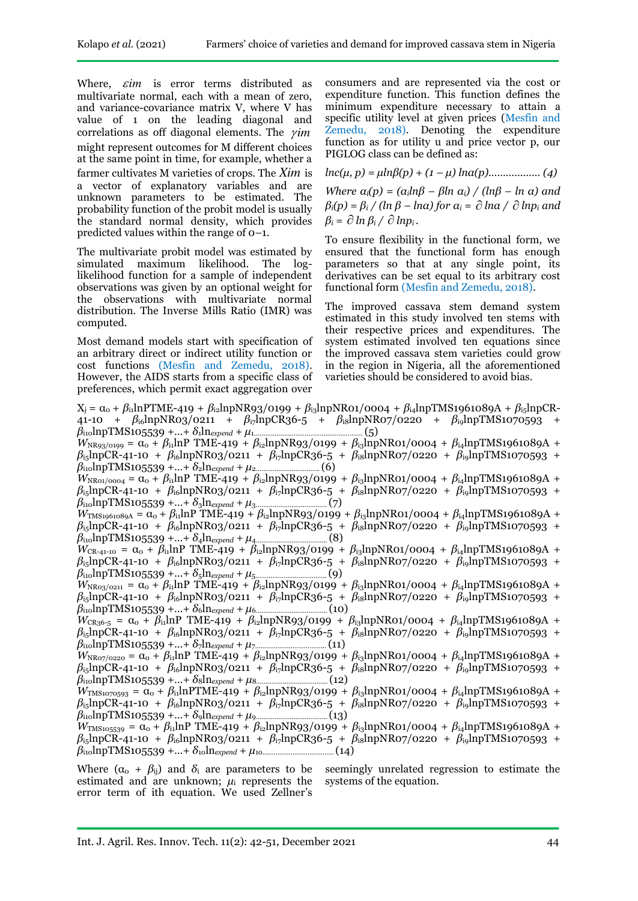Where,  $\epsilon$ *im* is error terms distributed as multivariate normal, each with a mean of zero, and variance-covariance matrix V, where V has value of 1 on the leading diagonal and correlations as off diagonal elements. The  $\gamma$ *im* might represent outcomes for M different choices at the same point in time, for example, whether a farmer cultivates M varieties of crops. The *Xim* is a vector of explanatory variables and are unknown parameters to be estimated. The probability function of the probit model is usually the standard normal density, which provides predicted values within the range of 0–1.

The multivariate probit model was estimated by simulated maximum likelihood. The loglikelihood function for a sample of independent observations was given by an optional weight for the observations with multivariate normal distribution. The Inverse Mills Ratio (IMR) was computed.

Most demand models start with specification of an arbitrary direct or indirect utility function or cost functions (Mesfin and Zemedu, 2018). However, the AIDS starts from a specific class of preferences, which permit exact aggregation over

consumers and are represented via the cost or expenditure function. This function defines the minimum expenditure necessary to attain a specific utility level at given prices (Mesfin and Zemedu, 2018). Denoting the expenditure function as for utility u and price vector p, our PIGLOG class can be defined as:

$$
lnc(\mu, p) = \mu ln \beta(p) + (1 - \mu) ln \alpha(p) \dots (4)
$$

*Where*  $a_i(p) = (a_i \ln \beta - \beta \ln a_i) / (\ln \beta - \ln a)$  and *βi(p) = β<sup>i</sup> / (ln β – lnα) for α<sup>i</sup> = lnα / lnpi and*   $\beta_i = \partial \ln \beta_i / \partial \ln p_i$ .

To ensure flexibility in the functional form, we ensured that the functional form has enough parameters so that at any single point, its derivatives can be set equal to its arbitrary cost functional form (Mesfin and Zemedu, 2018).

The improved cassava stem demand system estimated in this study involved ten stems with their respective prices and expenditures. The system estimated involved ten equations since the improved cassava stem varieties could grow in the region in Nigeria, all the aforementioned varieties should be considered to avoid bias.

| $X_i = \alpha_0 + \beta_{ii}$ lnPTME-419 + $\beta_{i2}$ lnpNR93/0199 + $\beta_{i3}$ lnpNR01/0004 + $\beta_{i4}$ lnpTMS1961089A + $\beta_{i5}$ lnpCR-                                               |
|----------------------------------------------------------------------------------------------------------------------------------------------------------------------------------------------------|
| 41-10 + $\beta_{\text{io}}$ lnpNR03/0211 + $\beta_{\text{i}}$ lnpCR36-5 + $\beta_{\text{is}}$ lnpNR07/0220 + $\beta_{\text{i}}$ lnpTMS1070593<br>$+$                                               |
| (5)                                                                                                                                                                                                |
| $W_{NR93/0199} = \alpha_0 + \beta_{11} \ln P$ TME-419 + $\beta_{12} \ln pNR93/0199 + \beta_{13} \ln pNR01/0004 + \beta_{14} \ln pTNS1961089A +$                                                    |
| $\beta_{\text{is}}$ lnpCR-41-10 + $\beta_{\text{is}}$ lnpNR03/0211 + $\beta_{\text{is}}$ lnpCR36-5 + $\beta_{\text{is}}$ lnpNR07/0220 + $\beta_{\text{is}}$ lnpTMS1070593 +                        |
|                                                                                                                                                                                                    |
| $W_{\text{NRO1}/0004} = \alpha_0 + \beta_{11} \ln P$ TME-419 + $\beta_{12} \ln p$ NR93/0199 + $\beta_{13} \ln p$ NR01/0004 + $\beta_{14} \ln p$ TMS1961089A +                                      |
| $\beta_{\rm ij}$ lnpCR-41-10 + $\beta_{\rm i6}$ lnpNR03/0211 + $\beta_{\rm i7}$ lnpCR36-5 + $\beta_{\rm i8}$ lnpNR07/0220 + $\beta_{\rm i9}$ lnpTMS1070593 +                                       |
|                                                                                                                                                                                                    |
| $W_{\text{TMSi961089A}} = \alpha_0 + \beta_{11} \ln P \text{ TME-419} + \beta_{12} \ln p \text{NR93}/0199 + \beta_{13} \ln p \text{NR01}/0004 + \beta_{14} \ln p \text{TNS1961089A} +$             |
| $\beta_{\text{is}}$ lnpCR-41-10 + $\beta_{\text{is}}$ lnpNR03/0211 + $\beta_{\text{is}}$ lnpCR36-5 + $\beta_{\text{is}}$ lnpNR07/0220 + $\beta_{\text{is}}$ lnpTMS1070593 +                        |
|                                                                                                                                                                                                    |
| $W_{CR-41-10} = \alpha_0 + \beta_{11} \ln P$ TME-419 + $\beta_{12} \ln p$ NR93/0199 + $\beta_{13} \ln p$ NR01/0004 + $\beta_{14} \ln p$ TMS1961089A +                                              |
| $\beta_{\text{is}}$ lnpCR-41-10 + $\beta_{\text{is}}$ lnpNR03/0211 + $\beta_{\text{is}}$ lnpCR36-5 + $\beta_{\text{is}}$ lnpNR07/0220 + $\beta_{\text{is}}$ lnpTMS1070593 +                        |
|                                                                                                                                                                                                    |
| $W_{NRo3/O211} = \alpha_0 + \beta_{11} \ln P$ TME-419 + $\beta_{12} \ln pNR93/O199 + \beta_{13} \ln pNR01/O004 + \beta_{14} \ln pTMS1961089A +$                                                    |
| $\beta_{\text{is}}$ lnpCR-41-10 + $\beta_{\text{is}}$ lnpNR03/0211 + $\beta_{\text{is}}$ lnpCR36-5 + $\beta_{\text{is}}$ lnpNR07/0220 + $\beta_{\text{is}}$ lnpTMS1070593 +                        |
|                                                                                                                                                                                                    |
| $W_{CR36-5} = \alpha_0 + \beta_{\text{il}} \ln P$ TME-419 + $\beta_{\text{il}} \ln \text{NR}$ 93/0199 + $\beta_{\text{il}} \ln \text{NR}$ 01/0004 + $\beta_{\text{il}} \ln \text{p}$ TMS1961089A + |
| $\beta_{\rm ij}$ lnpCR-41-10 + $\beta_{\rm i6}$ lnpNR03/0211 + $\beta_{\rm i7}$ lnpCR36-5 + $\beta_{\rm i8}$ lnpNR07/0220 + $\beta_{\rm i9}$ lnpTMS1070593 +                                       |
|                                                                                                                                                                                                    |
| $W_{\text{NRo7}/0220} = \alpha_0 + \beta_{11} \ln P$ TME-419 + $\beta_{12} \ln p$ NR93/0199 + $\beta_{13} \ln p$ NR01/0004 + $\beta_{14} \ln p$ TMS1961089A +                                      |
| $\beta_{\text{is}}$ lnpCR-41-10 + $\beta_{\text{is}}$ lnpNR03/0211 + $\beta_{\text{is}}$ lnpCR36-5 + $\beta_{\text{is}}$ lnpNR07/0220 + $\beta_{\text{is}}$ lnpTMS1070593 +                        |
|                                                                                                                                                                                                    |
| $W_{\text{TMS1070593}} = \alpha_0 + \beta_{11} \ln \text{PTME} - 419 + \beta_{12} \ln \text{pNR93}/0199 + \beta_{13} \ln \text{pNR01}/0004 + \beta_{14} \ln \text{pTNS1961089A} +$                 |
| $\beta_{i5}$ lnpCR-41-10 + $\beta_{i6}$ lnpNR03/0211 + $\beta_{i7}$ lnpCR36-5 + $\beta_{i8}$ lnpNR07/0220 + $\beta_{i9}$ lnpTMS1070593 +                                                           |
|                                                                                                                                                                                                    |
| $W_{\text{TMS105539}} = \alpha_0 + \beta_{11} \ln P \text{ TME-419} + \beta_{12} \ln p \text{NR93}/0199 + \beta_{13} \ln p \text{NR01}/0004 + \beta_{14} \ln p \text{ TMS1961089A} +$              |
| $\beta_{\rm ij}$ lnpCR-41-10 + $\beta_{\rm i6}$ lnpNR03/0211 + $\beta_{\rm i7}$ lnpCR36-5 + $\beta_{\rm i8}$ lnpNR07/0220 + $\beta_{\rm i9}$ lnpTMS1070593 +                                       |
|                                                                                                                                                                                                    |
| the contract of the contract of the contract of the contract of the contract of the contract of the contract of<br>$-1$                                                                            |

Where  $(\alpha_0 + \beta_{ii})$  and  $\delta_i$  are parameters to be estimated and are unknown;  $\mu_i$  represents the error term of ith equation. We used Zellner's

seemingly unrelated regression to estimate the systems of the equation.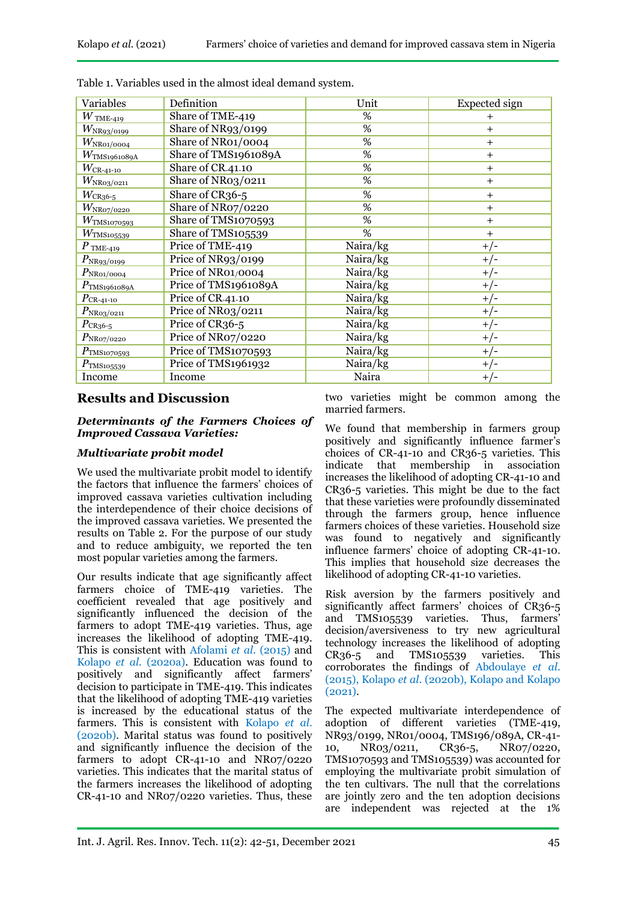| Variables                        | Definition           | Unit     | Expected sign  |
|----------------------------------|----------------------|----------|----------------|
| $W$ TME-419                      | Share of TME-419     | %        | $\overline{+}$ |
| $W_{\rm NR93/0199}$              | Share of NR93/0199   | %        | $+$            |
| $W_\mathrm{NRO1/0004}$           | Share of NR01/0004   | %        | $+$            |
| $W_{\mathrm{TMS1961089A}}$       | Share of TMS1961089A | %        | $+$            |
| $W_{\rm CR\text{-}41\text{-}10}$ | Share of CR41.10     | %        | $\ddot{}$      |
| $W_{\rm NRo3/o211}$              | Share of NR03/0211   | %        | $\ddot{}$      |
| $W_{CR36-5}$                     | Share of CR36-5      | %        | $+$            |
| $W_{\rm NR07/0220}$              | Share of NRo7/0220   | %        | $\ddot{}$      |
| $W_{\mathrm{TMS}$ 1070593        | Share of TMS1070593  | %        | $\ddot{}$      |
| $W_{\rm TMS105539}$              | Share of TMS105539   | %        | $\ddot{}$      |
| $P$ TME-419                      | Price of TME-419     | Naira/kg | $+/-$          |
| $P_{\rm NR93/0199}$              | Price of NR93/0199   | Naira/kg | $+/-$          |
| $P_{\rm NR01/0004}$              | Price of NR01/0004   | Naira/kg | $+/-$          |
| $P_{\rm TMS1961089A}$            | Price of TMS1961089A | Naira/kg | $+/-$          |
| $P_{CR-41-10}$                   | Price of CR-41-10    | Naira/kg | $+/-$          |
| $P_{\rm NRo3/O211}$              | Price of NR03/0211   | Naira/kg | $+/-$          |
| $P_{CR36-5}$                     | Price of CR36-5      | Naira/kg | $+/-$          |
| $P_{\rm NR07/0220}$              | Price of NR07/0220   | Naira/kg | $+/-$          |
| $P_{\rm TMS1O7O593}$             | Price of TMS1070593  | Naira/kg | $+/-$          |
| $P_{\text{TMS105539}}$           | Price of TMS1961932  | Naira/kg | $+/-$          |
| Income                           | Income               | Naira    | $+/-$          |

Table 1. Variables used in the almost ideal demand system.

# **Results and Discussion**

## *Determinants of the Farmers Choices of Improved Cassava Varieties:*

## *Multivariate probit model*

We used the multivariate probit model to identify the factors that influence the farmers' choices of improved cassava varieties cultivation including the interdependence of their choice decisions of the improved cassava varieties. We presented the results on Table 2. For the purpose of our study and to reduce ambiguity, we reported the ten most popular varieties among the farmers.

Our results indicate that age significantly affect farmers choice of TME-419 varieties. The coefficient revealed that age positively and significantly influenced the decision of the farmers to adopt TME-419 varieties. Thus, age increases the likelihood of adopting TME-419. This is consistent with Afolami *et al.* (2015) and Kolapo *et al.* (2020a). Education was found to positively and significantly affect farmers' decision to participate in TME-419. This indicates that the likelihood of adopting TME-419 varieties is increased by the educational status of the farmers. This is consistent with Kolapo *et al*. (2020b). Marital status was found to positively and significantly influence the decision of the farmers to adopt CR-41-10 and NR07/0220 varieties. This indicates that the marital status of the farmers increases the likelihood of adopting CR-41-10 and NR07/0220 varieties. Thus, these

two varieties might be common among the married farmers.

We found that membership in farmers group positively and significantly influence farmer's choices of CR-41-10 and CR36-5 varieties. This indicate that membership in association increases the likelihood of adopting CR-41-10 and CR36-5 varieties. This might be due to the fact that these varieties were profoundly disseminated through the farmers group, hence influence farmers choices of these varieties. Household size was found to negatively and significantly influence farmers' choice of adopting CR-41-10. This implies that household size decreases the likelihood of adopting CR-41-10 varieties.

Risk aversion by the farmers positively and significantly affect farmers' choices of CR36-5 and TMS105539 varieties. Thus, farmers' decision/aversiveness to try new agricultural technology increases the likelihood of adopting CR36-5 and TMS105539 varieties. This corroborates the findings of Abdoulaye *et al*. (2015), Kolapo *et al*. (2020b), Kolapo and Kolapo (2021).

The expected multivariate interdependence of adoption of different varieties (TME-419, NR93/0199, NR01/0004, TMS196/089A, CR-41- 10, NR03/0211, CR36-5, NR07/0220, TMS1070593 and TMS105539) was accounted for employing the multivariate probit simulation of the ten cultivars. The null that the correlations are jointly zero and the ten adoption decisions are independent was rejected at the 1%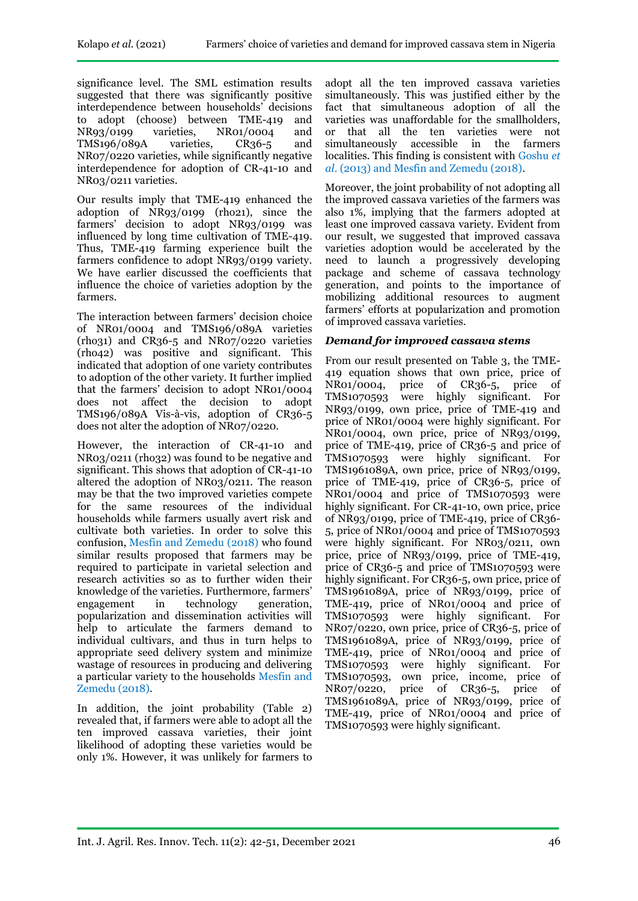significance level. The SML estimation results suggested that there was significantly positive interdependence between households' decisions to adopt (choose) between TME-419 and NR93/0199 varieties, NR01/0004 and TMS196/089A varieties, CR36-5 and NR07/0220 varieties, while significantly negative interdependence for adoption of CR-41-10 and NR03/0211 varieties.

Our results imply that TME-419 enhanced the adoption of NR93/0199 (rho21), since the farmers' decision to adopt NR93/0199 was influenced by long time cultivation of TME-419. Thus, TME-419 farming experience built the farmers confidence to adopt NR93/0199 variety. We have earlier discussed the coefficients that influence the choice of varieties adoption by the farmers.

The interaction between farmers' decision choice of NR01/0004 and TMS196/089A varieties (rho31) and CR36-5 and NR07/0220 varieties (rho42) was positive and significant. This indicated that adoption of one variety contributes to adoption of the other variety. It further implied that the farmers' decision to adopt NR01/0004 does not affect the decision to adopt TMS196/089A Vis-à-vis, adoption of CR36-5 does not alter the adoption of NR07/0220.

However, the interaction of CR-41-10 and NR03/0211 (rho32) was found to be negative and significant. This shows that adoption of CR-41-10 altered the adoption of NR03/0211. The reason may be that the two improved varieties compete for the same resources of the individual households while farmers usually avert risk and cultivate both varieties. In order to solve this confusion, Mesfin and Zemedu (2018) who found similar results proposed that farmers may be required to participate in varietal selection and research activities so as to further widen their knowledge of the varieties. Furthermore, farmers' engagement in technology generation, popularization and dissemination activities will help to articulate the farmers demand to individual cultivars, and thus in turn helps to appropriate seed delivery system and minimize wastage of resources in producing and delivering a particular variety to the households Mesfin and Zemedu (2018).

In addition, the joint probability (Table 2) revealed that, if farmers were able to adopt all the ten improved cassava varieties, their joint likelihood of adopting these varieties would be only 1%. However, it was unlikely for farmers to

adopt all the ten improved cassava varieties simultaneously. This was justified either by the fact that simultaneous adoption of all the varieties was unaffordable for the smallholders, or that all the ten varieties were not simultaneously accessible in the farmers localities. This finding is consistent with Goshu *et al*. (2013) and Mesfin and Zemedu (2018).

Moreover, the joint probability of not adopting all the improved cassava varieties of the farmers was also 1%, implying that the farmers adopted at least one improved cassava variety. Evident from our result, we suggested that improved cassava varieties adoption would be accelerated by the need to launch a progressively developing package and scheme of cassava technology generation, and points to the importance of mobilizing additional resources to augment farmers' efforts at popularization and promotion of improved cassava varieties.

## *Demand for improved cassava stems*

From our result presented on Table 3, the TME-419 equation shows that own price, price of NR01/0004, price of CR36-5, price of TMS1070593 were highly significant. For NR93/0199, own price, price of TME-419 and price of NR01/0004 were highly significant. For NR01/0004, own price, price of NR93/0199, price of TME-419, price of CR36-5 and price of TMS1070593 were highly significant. For TMS1961089A, own price, price of NR93/0199, price of TME-419, price of CR36-5, price of NR01/0004 and price of TMS1070593 were highly significant. For CR-41-10, own price, price of NR93/0199, price of TME-419, price of CR36- 5, price of NR01/0004 and price of TMS1070593 were highly significant. For NR03/0211, own price, price of NR93/0199, price of TME-419, price of CR36-5 and price of TMS1070593 were highly significant. For CR36-5, own price, price of TMS1961089A, price of NR93/0199, price of TME-419, price of NR01/0004 and price of TMS1070593 were highly significant. For NR07/0220, own price, price of CR36-5, price of TMS1961089A, price of NR93/0199, price of TME-419, price of NR01/0004 and price of TMS1070593 were highly significant. For TMS1070593, own price, income, price of NR07/0220, price of CR36-5, price of TMS1961089A, price of NR93/0199, price of TME-419, price of NR01/0004 and price of TMS1070593 were highly significant.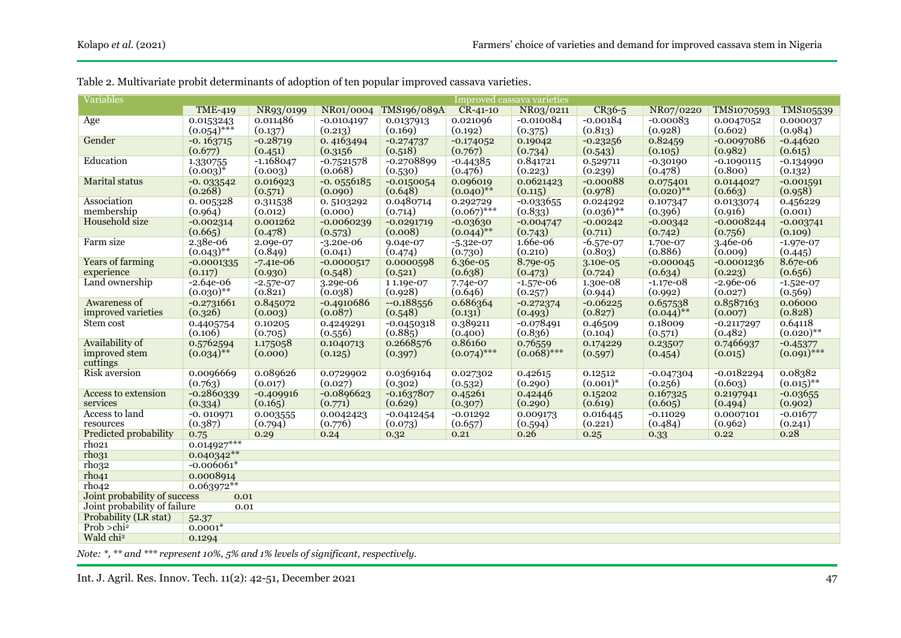| <b>Variables</b>                     | Improved cassava varieties |                     |                        |                         |                              |                     |                        |                     |                     |                        |
|--------------------------------------|----------------------------|---------------------|------------------------|-------------------------|------------------------------|---------------------|------------------------|---------------------|---------------------|------------------------|
|                                      | <b>TME-419</b>             | NR93/0199           | NR01/0004              | <b>TMS196/089A</b>      | $CR - 41 - 10$               | NR03/0211           | $CR36-5$               | NR07/0220           | TMS1070593          | TMS105539              |
| Age                                  | 0.0153243                  | 0.011486            | $-0.0104197$           | 0.0137913               | 0.021096                     | $-0.010084$         | $-0.00184$             | $-0.00083$          | 0.0047052           | 0.000037               |
|                                      | $(0.054)$ ***              | (0.137)             | (0.213)                | (0.169)                 | (0.192)                      | (0.375)             | (0.813)                | (0.928)             | (0.602)             | (0.984)                |
| Gender                               | $-0.163715$                | $-0.28719$          | 0.4163494              | $-0.274737$             | $-0.174052$                  | 0.19042             | $-0.23256$             | 0.82459             | $-0.0097086$        | $-0.44620$             |
|                                      | (0.677)                    | (0.451)             | (0.3156)               | (0.518)                 | (0.767)                      | (0.734)             | (0.543)                | (0.105)             | (0.982)             | (0.615)                |
| Education                            | 1.330755                   | $-1.168047$         | $-0.7521578$           | $-0.2708899$            | $-0.44385$                   | 0.841721            | 0.529711               | $-0.30190$          | $-0.1090115$        | $-0.134990$            |
|                                      | $(0.003)^{*}$              | (0.003)             | (0.068)                | (0.530)                 | (0.476)                      | (0.223)             | (0.239)                | (0.478)             | (0.800)             | (0.132)                |
| <b>Marital</b> status                | $-0.033542$                | 0.016923            | $-0.0556185$           | $-0.0150054$            | 0.096019                     | 0.0621423           | $-0.00088$             | 0.075401            | 0.0144027           | $-0.001591$            |
|                                      | (0.268)                    | (0.571)             | (0.090)                | (0.648)                 | $(0.040)$ **                 | (0.115)             | (0.978)                | $(0.020)$ **        | (0.663)             | (0.958)                |
| Association                          | 0.005328                   | 0.311538            | 0.5103292              | 0.0480714               | 0.292729                     | $-0.033655$         | 0.024292               | 0.107347            | 0.0133074           | 0.456229               |
| membership                           | (0.964)                    | (0.012)             | (0.000)                | (0.714)                 | $(0.067)$ ***                | (0.833)             | $(0.036)$ **           | (0.396)             | (0.916)             | (0.001)                |
| <b>Household</b> size                | $-0.002314$<br>(0.665)     | 0.001262            | $-0.0060239$           | $-0.0291719$<br>(0.008) | $-0.03630$<br>$(0.044)^{**}$ | $-0.004747$         | $-0.00242$             | $-0.00342$          | $-0.0008244$        | $-0.003741$            |
| Farm size                            | 2.38e-06                   | (0.478)<br>2.09e-07 | (0.573)                |                         |                              | (0.743)<br>1.66e-06 | (0.711)                | (0.742)             | (0.756)             | (0.109)                |
|                                      | $(0.043)$ **               | (0.849)             | $-3.20e-06$<br>(0.041) | 9.04e-07<br>(0.474)     | $-5.32e-07$<br>(0.730)       | (0.210)             | $-6.57e-07$<br>(0.803) | 1.70e-07<br>(0.886) | 3.46e-06<br>(0.009) | $-1.97e-07$<br>(0.445) |
| <b>Years of farming</b>              | $-0.0001335$               | $-7.41e-06$         | $-0.0000517$           | 0.0000598               | 6.36e-05                     | 8.79e-05            | 3.10e-05               | $-0.000045$         | $-0.0001236$        | 8.67e-06               |
| experience                           | (0.117)                    | (0.930)             | (0.548)                | (0.521)                 | (0.638)                      | (0.473)             | (0.724)                | (0.634)             | (0.223)             | (0.656)                |
| Land ownership                       | $-2.64e-06$                | $-2.57e-07$         | 3.29e-06               | 11.19e-07               | 7.74e-07                     | $-1.57e-06$         | 1.30e-08               | $-1.17e-08$         | $-2.96e-06$         | $-1.52e-07$            |
|                                      | $(0.030)$ **               | (0.821)             | (0.038)                | (0.928)                 | (0.646)                      | (0.257)             | (0.944)                | (0.992)             | (0.027)             | (0.569)                |
| Awareness of                         | $-0.2731661$               | 0.845072            | $-0.4910686$           | $-0.188556$             | 0.686364                     | $-0.272374$         | $-0.06225$             | 0.657538            | 0.8587163           | 0.06000                |
| improved varieties                   | (0.326)                    | (0.003)             | (0.087)                | (0.548)                 | (0.131)                      | (0.493)             | (0.827)                | $(0.044)$ **        | (0.007)             | (0.828)                |
| Stem cost                            | 0.4405754                  | 0.10205             | 0.4249291              | $-0.0450318$            | 0.389211                     | $-0.078491$         | 0.46509                | 0.18009             | $-0.2117297$        | 0.64118                |
|                                      | (0.106)                    | (0.705)             | (0.556)                | (0.885)                 | (0.400)                      | (0.836)             | (0.104)                | (0.571)             | (0.482)             | $(0.020)$ **           |
| Availability of                      | 0.5762594                  | 1.175058            | 0.1040713              | 0.2668576               | 0.86160                      | 0.76559             | 0.174229               | 0.23507             | 0.7466937           | $-0.45377$             |
| improved stem                        | $(0.034)$ **               | (0.000)             | (0.125)                | (0.397)                 | $(0.074)$ ***                | $(0.068)$ ***       | (0.597)                | (0.454)             | (0.015)             | $(0.091)$ ***          |
| cuttings                             |                            |                     |                        |                         |                              |                     |                        |                     |                     |                        |
| <b>Risk aversion</b>                 | 0.0096669                  | 0.089626            | 0.0729902              | 0.0369164               | 0.027302                     | 0.42615             | 0.12512                | $-0.047304$         | $-0.0182294$        | 0.08382                |
|                                      | (0.763)                    | (0.017)             | (0.027)                | (0.302)                 | (0.532)                      | (0.290)             | $(0.001)^{*}$          | (0.256)             | (0.603)             | $(0.015)$ **           |
| Access to extension                  | $-0.2860339$               | $-0.409916$         | $-0.0896623$           | $-0.1637807$            | 0.45261                      | 0.42446             | 0.15202                | 0.167325            | 0.2197941           | $-0.03655$             |
| services                             | (0.334)                    | (0.165)             | (0.771)                | (0.629)                 | (0.307)                      | (0.290)             | (0.619)                | (0.605)             | (0.494)             | (0.902)                |
| Access to land                       | $-0.010971$                | 0.003555            | 0.0042423              | $-0.0412454$            | $-0.01292$                   | 0.009173            | 0.016445               | $-0.11029$          | 0.0007101           | $-0.01677$             |
| resources<br>Predicted probability   | (0.387)                    | (0.794)             | (0.776)                | (0.073)                 | (0.657)                      | (0.594)             | (0.221)                | (0.484)             | (0.962)             | (0.241)<br>0.28        |
| rho <sub>21</sub>                    | 0.75<br>$0.014927***$      | 0.29                | 0.24                   | 0.32                    | 0.21                         | 0.26                | 0.25                   | 0.33                | 0.22                |                        |
| rho <sub>31</sub>                    | $0.040342**$               |                     |                        |                         |                              |                     |                        |                     |                     |                        |
| rho32                                | $-0.006061*$               |                     |                        |                         |                              |                     |                        |                     |                     |                        |
| rho41                                | 0.0008914                  |                     |                        |                         |                              |                     |                        |                     |                     |                        |
| rho42                                | $0.063972**$               |                     |                        |                         |                              |                     |                        |                     |                     |                        |
| Joint probability of success<br>0.01 |                            |                     |                        |                         |                              |                     |                        |                     |                     |                        |
| Joint probability of failure<br>0.01 |                            |                     |                        |                         |                              |                     |                        |                     |                     |                        |
| Probability (LR stat)                | 52.37                      |                     |                        |                         |                              |                     |                        |                     |                     |                        |
| Prob >chi <sup>2</sup>               | $0.0001*$                  |                     |                        |                         |                              |                     |                        |                     |                     |                        |
| Wald chi <sup>2</sup>                | 0.1294                     |                     |                        |                         |                              |                     |                        |                     |                     |                        |
|                                      |                            |                     |                        |                         |                              |                     |                        |                     |                     |                        |

Table 2. Multivariate probit determinants of adoption of ten popular improved cassava varieties.

*Note: \*, \*\* and \*\*\* represent 10%, 5% and 1% levels of significant, respectively.*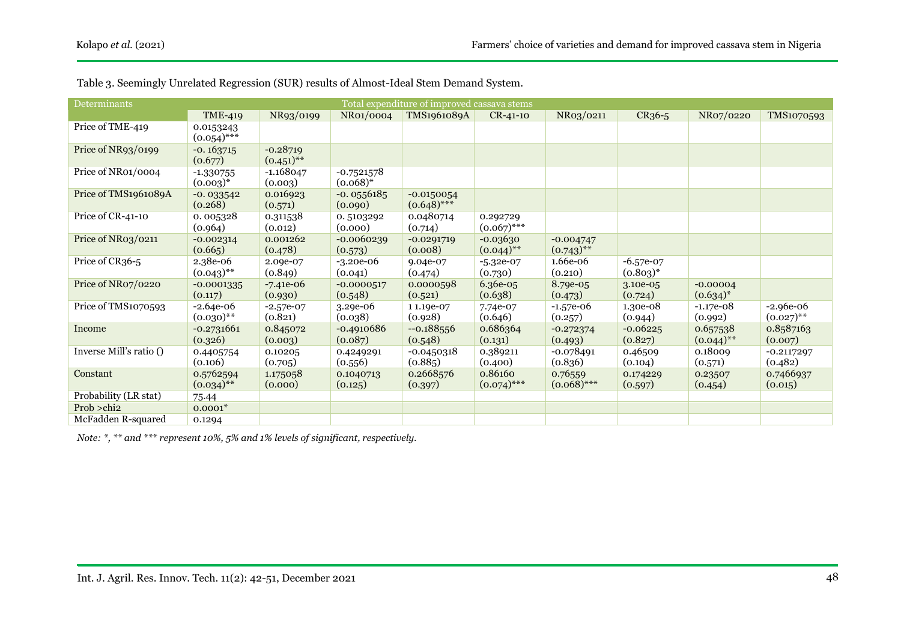| Total expenditure of improved cassava stems<br>Determinants |                              |                            |                             |                               |                            |                             |                              |                             |                             |
|-------------------------------------------------------------|------------------------------|----------------------------|-----------------------------|-------------------------------|----------------------------|-----------------------------|------------------------------|-----------------------------|-----------------------------|
|                                                             | <b>TME-419</b>               | NR93/0199                  | NR01/0004                   | TMS1961089A                   | $CR-41-10$                 | NR03/0211                   | CR <sub>36</sub> -5          | NR07/0220                   | TMS1070593                  |
| Price of TME-419                                            | 0.0153243<br>$(0.054)$ ***   |                            |                             |                               |                            |                             |                              |                             |                             |
| Price of NR93/0199                                          | $-0.163715$<br>(0.677)       | $-0.28719$<br>$(0.451)$ ** |                             |                               |                            |                             |                              |                             |                             |
| Price of NR01/0004                                          | $-1.330755$<br>$(0.003)^{*}$ | $-1.168047$<br>(0.003)     | $-0.7521578$<br>$(0.068)^*$ |                               |                            |                             |                              |                             |                             |
| Price of TMS1961089A                                        | $-0.033542$<br>(0.268)       | 0.016923<br>(0.571)        | $-0.0556185$<br>(0.090)     | $-0.0150054$<br>$(0.648)$ *** |                            |                             |                              |                             |                             |
| Price of CR-41-10                                           | 0.005328<br>(0.964)          | 0.311538<br>(0.012)        | 0.5103292<br>(0.000)        | 0.0480714<br>(0.714)          | 0.292729<br>$(0.067)$ ***  |                             |                              |                             |                             |
| Price of NR03/0211                                          | $-0.002314$<br>(0.665)       | 0.001262<br>(0.478)        | $-0.0060239$<br>(0.573)     | $-0.0291719$<br>(0.008)       | $-0.03630$<br>$(0.044)$ ** | $-0.004747$<br>$(0.743)$ ** |                              |                             |                             |
| Price of CR36-5                                             | 2.38e-06<br>$(0.043)$ **     | 2.09e-07<br>(0.849)        | $-3.20e-06$<br>(0.041)      | 9.04e-07<br>(0.474)           | $-5.32e-07$<br>(0.730)     | 1.66e-06<br>(0.210)         | $-6.57e-07$<br>$(0.803)^{*}$ |                             |                             |
| Price of NR07/0220                                          | $-0.0001335$<br>(0.117)      | $-7.41e-06$<br>(0.930)     | $-0.0000517$<br>(0.548)     | 0.0000598<br>(0.521)          | 6.36e-05<br>(0.638)        | 8.79e-05<br>(0.473)         | 3.10e-05<br>(0.724)          | $-0.00004$<br>$(0.634)^{*}$ |                             |
| Price of TMS1070593                                         | $-2.64e-06$<br>$(0.030)$ **  | $-2.57e-07$<br>(0.821)     | $3.29e-06$<br>(0.038)       | 11.19e-07<br>(0.928)          | 7.74e-07<br>(0.646)        | $-1.57e-06$<br>(0.257)      | 1.30e-08<br>(0.944)          | $-1.17e-08$<br>(0.992)      | $-2.96e-06$<br>$(0.027)$ ** |
| Income                                                      | $-0.2731661$<br>(0.326)      | 0.845072<br>(0.003)        | $-0.4910686$<br>(0.087)     | $-0.188556$<br>(0.548)        | 0.686364<br>(0.131)        | $-0.272374$<br>(0.493)      | $-0.06225$<br>(0.827)        | 0.657538<br>$(0.044)$ **    | 0.8587163<br>(0.007)        |
| Inverse Mill's ratio ()                                     | 0.4405754<br>(0.106)         | 0.10205<br>(0.705)         | 0.4249291<br>(0.556)        | $-0.0450318$<br>(0.885)       | 0.389211<br>(0.400)        | $-0.078491$<br>(0.836)      | 0.46509<br>(0.104)           | 0.18009<br>(0.571)          | $-0.2117297$<br>(0.482)     |
| Constant                                                    | 0.5762594<br>$(0.034)$ **    | 1.175058<br>(0.000)        | 0.1040713<br>(0.125)        | 0.2668576<br>(0.397)          | 0.86160<br>$(0.074)$ ***   | 0.76559<br>$(0.068)$ ***    | 0.174229<br>(0.597)          | 0.23507<br>(0.454)          | 0.7466937<br>(0.015)        |
| Probability (LR stat)                                       | 75.44                        |                            |                             |                               |                            |                             |                              |                             |                             |
| Prob > chi2                                                 | $0.0001*$                    |                            |                             |                               |                            |                             |                              |                             |                             |
| McFadden R-squared                                          | 0.1294                       |                            |                             |                               |                            |                             |                              |                             |                             |

Table 3. Seemingly Unrelated Regression (SUR) results of Almost-Ideal Stem Demand System.

*Note: \*, \*\* and \*\*\* represent 10%, 5% and 1% levels of significant, respectively.*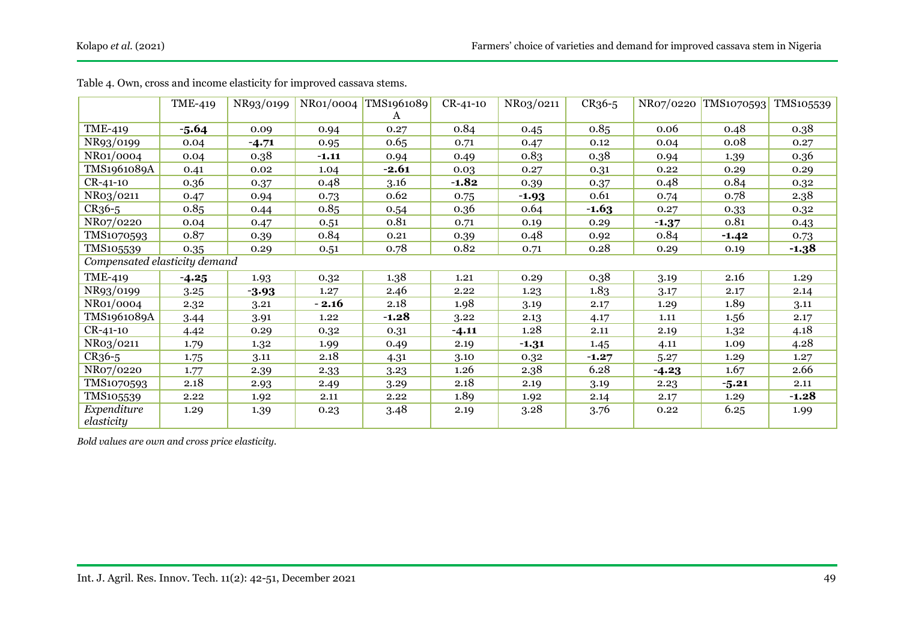|                               | <b>TME-419</b> | NR93/0199 | NRo1/0004 | TMS1961089 | $CR - 41 - 10$ | NR03/0211 | CR <sub>36</sub> -5 | NR07/0220 | TMS1070593 | TMS105539 |
|-------------------------------|----------------|-----------|-----------|------------|----------------|-----------|---------------------|-----------|------------|-----------|
|                               |                |           |           | A          |                |           |                     |           |            |           |
| <b>TME-419</b>                | $-5.64$        | 0.09      | 0.94      | 0.27       | 0.84           | 0.45      | 0.85                | 0.06      | 0.48       | 0.38      |
| NR93/0199                     | 0.04           | $-4.71$   | 0.95      | 0.65       | 0.71           | 0.47      | 0.12                | 0.04      | 0.08       | 0.27      |
| NR01/0004                     | 0.04           | 0.38      | $-1.11$   | 0.94       | 0.49           | 0.83      | 0.38                | 0.94      | 1.39       | 0.36      |
| TMS1961089A                   | 0.41           | 0.02      | 1.04      | $-2.61$    | 0.03           | 0.27      | 0.31                | 0.22      | 0.29       | 0.29      |
| $CR-41-10$                    | 0.36           | 0.37      | 0.48      | 3.16       | $-1.82$        | 0.39      | 0.37                | 0.48      | 0.84       | 0.32      |
| NR03/0211                     | 0.47           | 0.94      | 0.73      | 0.62       | 0.75           | $-1.93$   | 0.61                | 0.74      | 0.78       | 2.38      |
| CR <sub>36</sub> -5           | 0.85           | 0.44      | 0.85      | 0.54       | 0.36           | 0.64      | $-1.63$             | 0.27      | 0.33       | 0.32      |
| NR07/0220                     | 0.04           | 0.47      | 0.51      | 0.81       | 0.71           | 0.19      | 0.29                | $-1.37$   | 0.81       | 0.43      |
| TMS1070593                    | 0.87           | 0.39      | 0.84      | 0.21       | 0.39           | 0.48      | 0.92                | 0.84      | $-1.42$    | 0.73      |
| TMS105539                     | 0.35           | 0.29      | 0.51      | 0.78       | 0.82           | 0.71      | 0.28                | 0.29      | 0.19       | $-1.38$   |
| Compensated elasticity demand |                |           |           |            |                |           |                     |           |            |           |
| <b>TME-419</b>                | $-4.25$        | 1.93      | 0.32      | 1.38       | 1.21           | 0.29      | 0.38                | 3.19      | 2.16       | 1.29      |
| NR93/0199                     | 3.25           | $-3.93$   | 1.27      | 2.46       | 2.22           | 1.23      | 1.83                | 3.17      | 2.17       | 2.14      |
| NR01/0004                     | 2.32           | 3.21      | $-2.16$   | 2.18       | 1.98           | 3.19      | 2.17                | 1.29      | 1.89       | 3.11      |
| TMS1961089A                   | 3.44           | 3.91      | 1.22      | $-1.28$    | 3.22           | 2.13      | 4.17                | 1.11      | 1.56       | 2.17      |
| $CR - 41 - 10$                | 4.42           | 0.29      | 0.32      | 0.31       | $-4.11$        | 1.28      | 2.11                | 2.19      | 1.32       | 4.18      |
| NR03/0211                     | 1.79           | 1.32      | 1.99      | 0.49       | 2.19           | $-1.31$   | 1.45                | 4.11      | 1.09       | 4.28      |
| CR <sub>36</sub> -5           | 1.75           | 3.11      | 2.18      | 4.31       | 3.10           | 0.32      | $-1.27$             | 5.27      | 1.29       | 1.27      |
| NR07/0220                     | 1.77           | 2.39      | 2.33      | 3.23       | 1.26           | 2.38      | 6.28                | $-4.23$   | 1.67       | 2.66      |
| TMS1070593                    | 2.18           | 2.93      | 2.49      | 3.29       | 2.18           | 2.19      | 3.19                | 2.23      | $-5.21$    | 2.11      |
| TMS105539                     | 2.22           | 1.92      | 2.11      | 2.22       | 1.89           | 1.92      | 2.14                | 2.17      | 1.29       | $-1.28$   |
| Expenditure<br>elasticity     | 1.29           | 1.39      | 0.23      | 3.48       | 2.19           | 3.28      | 3.76                | 0.22      | 6.25       | 1.99      |

Table 4. Own, cross and income elasticity for improved cassava stems.

*Bold values are own and cross price elasticity.*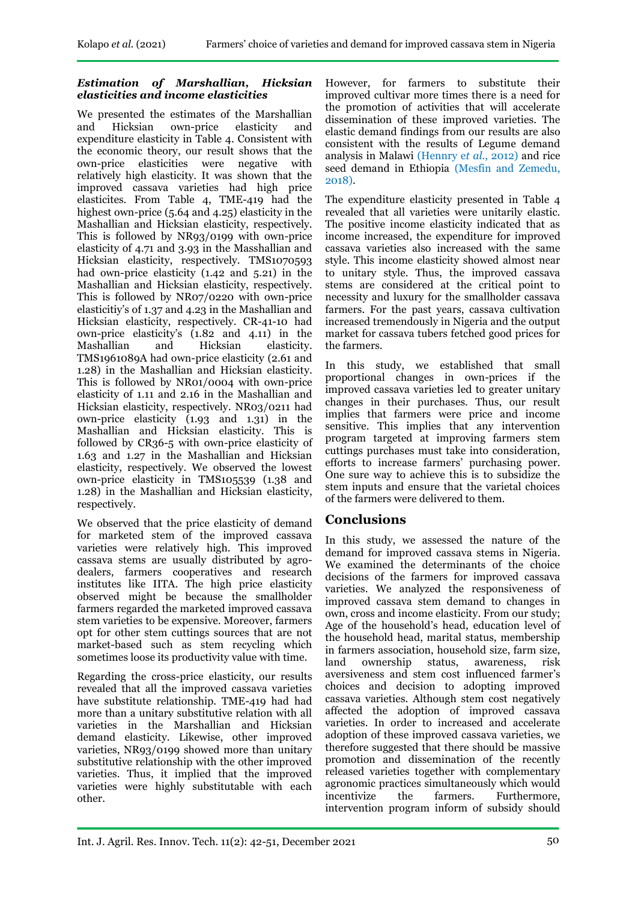# *Estimation of Marshallian, Hicksian elasticities and income elasticities*

We presented the estimates of the Marshallian<br>and Hicksian own-price elasticity and Hicksian own-price elasticity and expenditure elasticity in Table 4. Consistent with the economic theory, our result shows that the own-price elasticities were negative with relatively high elasticity. It was shown that the improved cassava varieties had high price elasticites. From Table 4, TME-419 had the highest own-price (5.64 and 4.25) elasticity in the Mashallian and Hicksian elasticity, respectively. This is followed by NR93/0199 with own-price elasticity of 4.71 and 3.93 in the Masshallian and Hicksian elasticity, respectively. TMS1070593 had own-price elasticity (1.42 and 5.21) in the Mashallian and Hicksian elasticity, respectively. This is followed by NR07/0220 with own-price elasticitiy's of 1.37 and 4.23 in the Mashallian and Hicksian elasticity, respectively. CR-41-10 had own-price elasticity's (1.82 and 4.11) in the Mashallian and Hicksian elasticity. TMS1961089A had own-price elasticity (2.61 and 1.28) in the Mashallian and Hicksian elasticity. This is followed by NR01/0004 with own-price elasticity of 1.11 and 2.16 in the Mashallian and Hicksian elasticity, respectively. NR03/0211 had own-price elasticity (1.93 and 1.31) in the Mashallian and Hicksian elasticity. This is followed by CR36-5 with own-price elasticity of 1.63 and 1.27 in the Mashallian and Hicksian elasticity, respectively. We observed the lowest own-price elasticity in TMS105539 (1.38 and 1.28) in the Mashallian and Hicksian elasticity, respectively.

We observed that the price elasticity of demand for marketed stem of the improved cassava varieties were relatively high. This improved cassava stems are usually distributed by agrodealers, farmers cooperatives and research institutes like IITA. The high price elasticity observed might be because the smallholder farmers regarded the marketed improved cassava stem varieties to be expensive. Moreover, farmers opt for other stem cuttings sources that are not market-based such as stem recycling which sometimes loose its productivity value with time.

Regarding the cross-price elasticity, our results revealed that all the improved cassava varieties have substitute relationship. TME-419 had had more than a unitary substitutive relation with all varieties in the Marshallian and Hicksian demand elasticity. Likewise, other improved varieties, NR93/0199 showed more than unitary substitutive relationship with the other improved varieties. Thus, it implied that the improved varieties were highly substitutable with each other.

However, for farmers to substitute their improved cultivar more times there is a need for the promotion of activities that will accelerate dissemination of these improved varieties. The elastic demand findings from our results are also consistent with the results of Legume demand analysis in Malawi (Hennry e*t al.*, 2012) and rice seed demand in Ethiopia (Mesfin and Zemedu, 2018).

The expenditure elasticity presented in Table 4 revealed that all varieties were unitarily elastic. The positive income elasticity indicated that as income increased, the expenditure for improved cassava varieties also increased with the same style. This income elasticity showed almost near to unitary style. Thus, the improved cassava stems are considered at the critical point to necessity and luxury for the smallholder cassava farmers. For the past years, cassava cultivation increased tremendously in Nigeria and the output market for cassava tubers fetched good prices for the farmers.

In this study, we established that small proportional changes in own-prices if the improved cassava varieties led to greater unitary changes in their purchases. Thus, our result implies that farmers were price and income sensitive. This implies that any intervention program targeted at improving farmers stem cuttings purchases must take into consideration, efforts to increase farmers' purchasing power. One sure way to achieve this is to subsidize the stem inputs and ensure that the varietal choices of the farmers were delivered to them.

# **Conclusions**

In this study, we assessed the nature of the demand for improved cassava stems in Nigeria. We examined the determinants of the choice decisions of the farmers for improved cassava varieties. We analyzed the responsiveness of improved cassava stem demand to changes in own, cross and income elasticity. From our study; Age of the household's head, education level of the household head, marital status, membership in farmers association, household size, farm size, land ownership status, awareness, risk aversiveness and stem cost influenced farmer's choices and decision to adopting improved cassava varieties. Although stem cost negatively affected the adoption of improved cassava varieties. In order to increased and accelerate adoption of these improved cassava varieties, we therefore suggested that there should be massive promotion and dissemination of the recently released varieties together with complementary agronomic practices simultaneously which would incentivize the farmers. Furthermore, intervention program inform of subsidy should